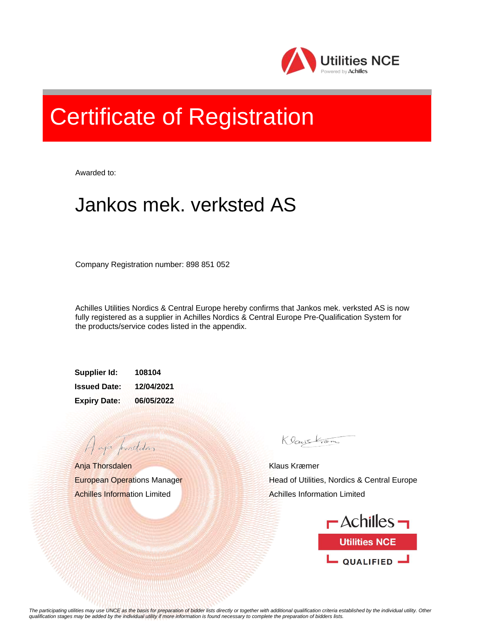

## Certificate of Registration

Awarded to:

## Jankos mek. verksted AS

Company Registration number: 898 851 052

Achilles Utilities Nordics & Central Europe hereby confirms that Jankos mek. verksted AS is now fully registered as a supplier in Achilles Nordics & Central Europe Pre-Qualification System for the products/service codes listed in the appendix.

**Supplier Id: 108104 Issued Date: 12/04/2021 Expiry Date: 06/05/2022**

Anja Thorsdalen European Operations Manager Achilles Information Limited

A aja providdan

Klaystrom

Klaus Kræmer Head of Utilities, Nordics & Central Europe Achilles Information Limited



*The participating utilities may use UNCE as the basis for preparation of bidder lists directly or together with additional qualification criteria established by the individual utility. Other qualification stages may be added by the individual utility if more information is found necessary to complete the preparation of bidders lists.*